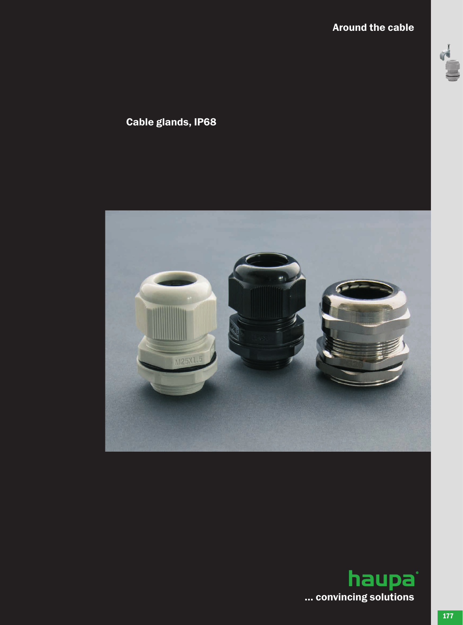# Around the cable



# Cable glands, IP68



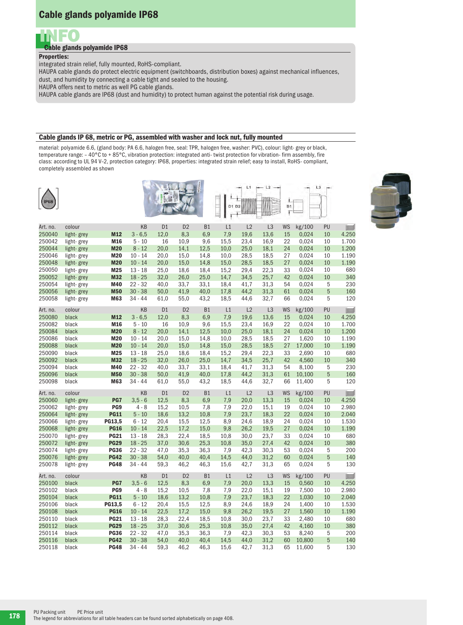# Cable glands polyamide IP68



## Cable glands polyamide IP68

### Properties:

integrated strain relief, fully mounted, RoHS-compliant.

HAUPA cable glands do protect electric equipment (switchboards, distribution boxes) against mechanical influences, dust, and humidity by connecting a cable tight and sealed to the housing.

HAUPA offers next to metric as well PG cable glands.

HAUPA cable glands are IP68 (dust and humidity) to protect human against the potential risk during usage.

#### Cable glands IP 68, metric or PG, assembled with washer and lock nut, fully mounted

material: polyamide 6.6, (gland body: PA 6.6, halogen free, seal: TPR, halogen free, washer: PVC), colour: light- grey or black, temperature range: – 40°C to + 85°C, vibration protection: integrated anti- twist protection for vibration- firm assembly, fire class: according to UL 94 V–2, protection category: IP68, properties: integrated strain relief; easy to install, RoHS- compliant, completely assembled as shown

| <b>IP68</b> |            |             |           |                |                |           | D1 D2 | L1   | L2             | ±<br>B1<br>Ŧ |        | L <sub>3</sub> |       |
|-------------|------------|-------------|-----------|----------------|----------------|-----------|-------|------|----------------|--------------|--------|----------------|-------|
| Art. no.    | colour     |             | KB        | D1             | D <sub>2</sub> | <b>B1</b> | L1    | L2   | L <sub>3</sub> | <b>WS</b>    | kg/100 | PU             |       |
| 250040      | light-grey | M12         | $3 - 6,5$ | 12,0           | 8,3            | 6,9       | 7,9   | 19,6 | 13,6           | 15           | 0,024  | 10             | 4.250 |
| 250042      | light-grey | M16         | $5 - 10$  | 16             | 10,9           | 9,6       | 15,5  | 23,4 | 16,9           | 22           | 0,024  | 10             | 1.700 |
| 250044      | light-grey | <b>M20</b>  | $8 - 12$  | 20,0           | 14,1           | 12,5      | 10,0  | 25,0 | 18,1           | 24           | 0,024  | 10             | 1.200 |
| 250046      | light-grey | <b>M20</b>  | $10 - 14$ | 20,0           | 15,0           | 14,8      | 10,0  | 28,5 | 18,5           | 27           | 0,024  | 10             | 1.190 |
| 250048      | light-grey | <b>M20</b>  | $10 - 14$ | 20,0           | 15,0           | 14,8      | 15,0  | 28,5 | 18,5           | 27           | 0,024  | 10             | 1.190 |
| 250050      | light-grey | M25         | $13 - 18$ | 25,0           | 18,6           | 18,4      | 15,2  | 29,4 | 22,3           | 33           | 0,024  | 10             | 680   |
| 250052      | light-grey | <b>M32</b>  | $18 - 25$ | 32,0           | 26,0           | 25,0      | 14,7  | 34,5 | 25,7           | 42           | 0,024  | 10             | 340   |
| 250054      | light-grey | M40         | $22 - 32$ | 40,0           | 33,7           | 33,1      | 18,4  | 41,7 | 31,3           | 54           | 0,024  | 5              | 230   |
| 250056      | light-grey | <b>M50</b>  | $30 - 38$ | 50,0           | 41,9           | 40,0      | 17,8  | 44,2 | 31,3           | 61           | 0,024  | 5              | 160   |
| 250058      | light-grey | M63         | 34 - 44   | 61,0           | 55,0           | 43,2      | 18,5  | 44,6 | 32,7           | 66           | 0,024  | 5              | 120   |
|             |            |             |           |                |                |           |       |      |                |              |        |                |       |
| Art. no.    | colour     |             | KB        | D <sub>1</sub> | D <sub>2</sub> | <b>B1</b> | L1    | L2   | L <sub>3</sub> | <b>WS</b>    | kg/100 | PU             | II.   |
| 250080      | black      | M12         | $3 - 6,5$ | 12,0           | 8,3            | 6,9       | 7,9   | 19,6 | 13,6           | 15           | 0,024  | 10             | 4.250 |
| 250082      | black      | M16         | $5 - 10$  | 16             | 10,9           | 9,6       | 15,5  | 23,4 | 16,9           | 22           | 0,024  | 10             | 1.700 |
| 250084      | black      | <b>M20</b>  | $8 - 12$  | 20,0           | 14,1           | 12,5      | 10,0  | 25,0 | 18,1           | 24           | 0,024  | 10             | 1.200 |
| 250086      | black      | <b>M20</b>  | $10 - 14$ | 20,0           | 15,0           | 14,8      | 10,0  | 28,5 | 18,5           | 27           | 1,620  | 10             | 1.190 |
| 250088      | black      | <b>M20</b>  | $10 - 14$ | 20,0           | 15,0           | 14,8      | 15,0  | 28,5 | 18,5           | 27           | 17,000 | 10             | 1.190 |
| 250090      | black      | M25         | $13 - 18$ | 25,0           | 18,6           | 18,4      | 15,2  | 29,4 | 22,3           | 33           | 2,690  | 10             | 680   |
| 250092      | black      | <b>M32</b>  | $18 - 25$ | 32,0           | 26,0           | 25,0      | 14,7  | 34,5 | 25,7           | 42           | 4,560  | 10             | 340   |
| 250094      | black      | M40         | $22 - 32$ | 40,0           | 33,7           | 33,1      | 18,4  | 41,7 | 31,3           | 54           | 8,100  | 5              | 230   |
| 250096      | black      | <b>M50</b>  | $30 - 38$ | 50,0           | 41,9           | 40,0      | 17,8  | 44,2 | 31,3           | 61           | 10,100 | 5              | 160   |
| 250098      | black      | M63         | $34 - 44$ | 61,0           | 55,0           | 43,2      | 18,5  | 44,6 | 32,7           | 66           | 11,400 | 5              | 120   |
| Art. no.    | colour     |             | KB        | D <sub>1</sub> | D <sub>2</sub> | B1        | L1    | L2   | L <sub>3</sub> | <b>WS</b>    | kg/100 | PU             |       |
| 250060      | light-grey | PG7         | $3,5 - 6$ | 12,5           | 8,3            | 6,9       | 7,9   | 20,0 | 13,3           | 15           | 0,024  | 10             | 4.250 |
| 250062      | light-grey | PG9         | $4 - 8$   | 15,2           | 10,5           | 7,8       | 7,9   | 22,0 | 15,1           | 19           | 0,024  | 10             | 2.980 |
| 250064      | light-grey | <b>PG11</b> | $5 - 10$  | 18,6           | 13,2           | 10,8      | 7,9   | 23,7 | 18,3           | 22           | 0,024  | 10             | 2.040 |
| 250066      | light-grey | PG13,5      | $6 - 12$  | 20,4           | 15,5           | 12,5      | 8,9   | 24,6 | 18,9           | 24           | 0,024  | 10             | 1.530 |
| 250068      | light-grey | <b>PG16</b> | $10 - 14$ | 22,5           | 17,2           | 15,0      | 9,8   | 26,2 | 19,5           | 27           | 0,024  | 10             | 1.190 |
| 250070      | light-grey | <b>PG21</b> | $13 - 18$ | 28,3           | 22,4           | 18,5      | 10,8  | 30,0 | 23,7           | 33           | 0,024  | 10             | 680   |
| 250072      | light-grey | <b>PG29</b> | $18 - 25$ | 37,0           | 30,6           | 25,3      | 10,8  | 35,0 | 27,4           | 42           | 0,024  | 10             | 380   |
| 250074      | light-grey | <b>PG36</b> | $22 - 32$ | 47,0           | 35,3           | 36,3      | 7,9   | 42,3 | 30,3           | 53           | 0,024  | 5              | 200   |
| 250076      | light-grey | <b>PG42</b> | $30 - 38$ | 54,0           | 40,0           | 40,4      | 14,5  | 44,0 | 31,2           | 60           | 0,024  | 5              | 140   |
| 250078      | light-grey | <b>PG48</b> | $34 - 44$ | 59,3           | 46,2           | 46,3      | 15,6  | 42,7 | 31,3           | 65           | 0,024  | 5              | 130   |
| Art. no.    | colour     |             | KB        | D <sub>1</sub> | D <sub>2</sub> | <b>B1</b> | L1    | L2   | L <sub>3</sub> | <b>WS</b>    | kg/100 | PU             |       |
| 250100      | black      | PG7         | $3,5 - 6$ | 12,5           | 8,3            | 6,9       | 7,9   | 20,0 | 13,3           | 15           | 0,560  | 10             | 4.250 |
| 250102      | black      | PG9         | $4 - 8$   | 15,2           | 10,5           | 7,8       | 7,9   | 22,0 | 15,1           | 19           | 7,500  | 10             | 2.980 |
| 250104      | black      | <b>PG11</b> | $5 - 10$  | 18,6           | 13,2           | 10,8      | 7,9   | 23,7 | 18,3           | 22           | 1,030  | 10             | 2.040 |
| 250106      | black      | PG13,5      | $6 - 12$  | 20,4           | 15,5           | 12,5      | 8,9   | 24,6 | 18,9           | 24           | 1,400  | 10             | 1.530 |
| 250108      | black      | <b>PG16</b> | $10 - 14$ | 22,5           | 17,2           | 15,0      | 9,8   | 26,2 | 19,5           | 27           | 1,560  | 10             | 1.190 |
| 250110      | black      | <b>PG21</b> | $13 - 18$ | 28,3           | 22,4           | 18,5      | 10,8  | 30,0 | 23,7           | 33           | 2,480  | 10             | 680   |
| 250112      | black      | <b>PG29</b> | $18 - 25$ | 37,0           | 30,6           | 25,3      | 10,8  | 35,0 | 27,4           | 42           | 4,160  | 10             | 380   |
| 250114      | black      | <b>PG36</b> | $22 - 32$ | 47,0           | 35,3           | 36,3      | 7,9   | 42,3 | 30,3           | 53           | 8,240  | 5              | 200   |
| 250116      | black      | <b>PG42</b> | $30 - 38$ | 54,0           | 40,0           | 40,4      | 14,5  | 44,0 | 31,2           | 60           | 10,800 | 5              | 140   |
| 250118      | black      | <b>PG48</b> | 34 - 44   | 59,3           | 46,2           | 46,3      | 15,6  | 42,7 | 31,3           | 65           | 11,600 | 5              | 130   |

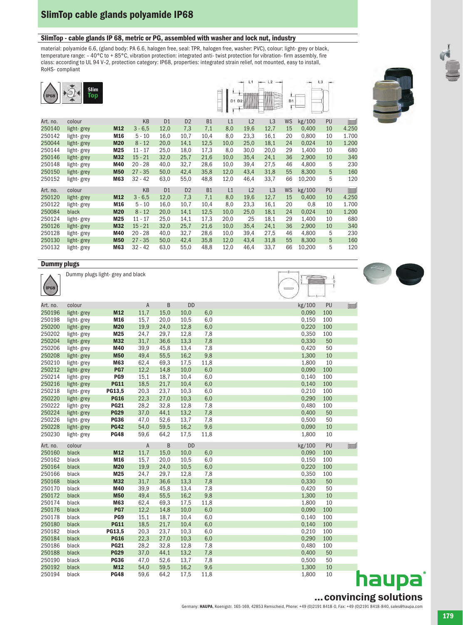# SlimTop cable glands polyamide IP68

### SlimTop - cable glands IP 68, metric or PG, assembled with washer and lock nut, industry

material: polyamide 6.6, (gland body: PA 6.6, halogen free, seal: TPR, halogen free, washer: PVC), colour: light- grey or black, temperature range: – 40°C to + 85°C, vibration protection: integrated anti- twist protection for vibration- firm assembly, fire class: according to UL 94 V–2, protection category: IP68, properties: integrated strain relief, not mounted, easy to install, RoHS- compliant

|          | <b>Slim</b><br>Top |            |           |                |                |           |      | D1 D2 |                | B <sub>1</sub> |        | L3 |                                                                                                                                                                                                                                                                                                                                                     |
|----------|--------------------|------------|-----------|----------------|----------------|-----------|------|-------|----------------|----------------|--------|----|-----------------------------------------------------------------------------------------------------------------------------------------------------------------------------------------------------------------------------------------------------------------------------------------------------------------------------------------------------|
| Art. no. | colour             |            | <b>KB</b> | D <sub>1</sub> | D <sub>2</sub> | <b>B1</b> | L1   | L2    | L <sub>3</sub> | <b>WS</b>      | kg/100 | PU | $\begin{picture}(20,20) \put(0,0){\line(0,1){10}} \put(15,0){\line(0,1){10}} \put(15,0){\line(0,1){10}} \put(15,0){\line(0,1){10}} \put(15,0){\line(0,1){10}} \put(15,0){\line(0,1){10}} \put(15,0){\line(0,1){10}} \put(15,0){\line(0,1){10}} \put(15,0){\line(0,1){10}} \put(15,0){\line(0,1){10}} \put(15,0){\line(0,1){10}} \put(15,0){\line(0$ |
| 250140   | light-grey         | M12        | $3 - 6,5$ | 12,0           | 7,3            | 7,1       | 8,0  | 19,6  | 12,7           | 15             | 0,400  | 10 | 4.250                                                                                                                                                                                                                                                                                                                                               |
| 250142   | light-grey         | M16        | $5 - 10$  | 16,0           | 10,7           | 10,4      | 8,0  | 23,3  | 16,1           | 20             | 0,800  | 10 | 1.700                                                                                                                                                                                                                                                                                                                                               |
| 250044   | light-grey         | <b>M20</b> | $8 - 12$  | 20,0           | 14,1           | 12,5      | 10,0 | 25,0  | 18,1           | 24             | 0,024  | 10 | 1.200                                                                                                                                                                                                                                                                                                                                               |
| 250144   | light-grey         | M25        | $11 - 17$ | 25,0           | 18,0           | 17,3      | 8,0  | 30,0  | 20,0           | 29             | 1,400  | 10 | 680                                                                                                                                                                                                                                                                                                                                                 |
| 250146   | light-grey         | <b>M32</b> | $15 - 21$ | 32,0           | 25,7           | 21,6      | 10,0 | 35,4  | 24,1           | 36             | 2,900  | 10 | 340                                                                                                                                                                                                                                                                                                                                                 |
| 250148   | light-grey         | M40        | $20 - 28$ | 40,0           | 32,7           | 28,6      | 10,0 | 39,4  | 27,5           | 46             | 4,800  | 5  | 230                                                                                                                                                                                                                                                                                                                                                 |
| 250150   | light-grey         | <b>M50</b> | $27 - 35$ | 50,0           | 42,4           | 35,8      | 12,0 | 43,4  | 31,8           | 55             | 8,300  | 5  | 160                                                                                                                                                                                                                                                                                                                                                 |
| 250152   | light-grey         | M63        | $32 - 42$ | 63,0           | 55,0           | 48,8      | 12,0 | 46,4  | 33,7           | 66             | 10,200 | 5  | 120                                                                                                                                                                                                                                                                                                                                                 |
| Art. no. | colour             |            | KB        | D <sub>1</sub> | D <sub>2</sub> | <b>B1</b> | L1   | L2    | L3             | <b>WS</b>      | kg/100 | PU | $\Box$                                                                                                                                                                                                                                                                                                                                              |
| 250120   | light-grey         | <b>M12</b> | $3 - 6,5$ | 12,0           | 7,3            | 7,1       | 8,0  | 19,6  | 12,7           | 15             | 0,400  | 10 | 4.250                                                                                                                                                                                                                                                                                                                                               |
| 250122   | light-grey         | M16        | $5 - 10$  | 16,0           | 10,7           | 10,4      | 8,0  | 23,3  | 16,1           | 20             | 0,8    | 10 | 1.700                                                                                                                                                                                                                                                                                                                                               |
| 250084   | black              | <b>M20</b> | $8 - 12$  | 20,0           | 14,1           | 12,5      | 10,0 | 25,0  | 18,1           | 24             | 0,024  | 10 | 1.200                                                                                                                                                                                                                                                                                                                                               |
| 250124   | light-grey         | M25        | $11 - 17$ | 25,0           | 14,1           | 17,3      | 20,0 | 25    | 18,1           | 29             | 1,400  | 10 | 680                                                                                                                                                                                                                                                                                                                                                 |
| 250126   | light-grey         | <b>M32</b> | $15 - 21$ | 32,0           | 25,7           | 21,6      | 10,0 | 35,4  | 24,1           | 36             | 2,900  | 10 | 340                                                                                                                                                                                                                                                                                                                                                 |
| 250128   | light-grey         | M40        | $20 - 28$ | 40,0           | 32,7           | 28,6      | 10,0 | 39,4  | 27,5           | 46             | 4,800  | 5  | 230                                                                                                                                                                                                                                                                                                                                                 |
| 250130   | light-grey         | <b>M50</b> | $27 - 35$ | 50,0           | 42,4           | 35,8      | 12,0 | 43,4  | 31,8           | 55             | 8,300  | 5  | 160                                                                                                                                                                                                                                                                                                                                                 |
| 250132   | light-grey         | M63        | $32 - 42$ | 63,0           | 55,0           | 48,8      | 12,0 | 46,4  | 33,7           | 66             | 10,200 | 5  | 120                                                                                                                                                                                                                                                                                                                                                 |

## **Dummy plugs**

| - סטייט ניייייי |            |                                   |         |      |           |      |                          |               |   |
|-----------------|------------|-----------------------------------|---------|------|-----------|------|--------------------------|---------------|---|
| <b>IP68</b>     |            | Dummy plugs light- grey and black |         |      |           |      | $\overline{\phantom{0}}$ | $\frac{1}{2}$ |   |
| Art. no.        | colour     |                                   | A       | B    | <b>DD</b> |      | kg/100                   | PU            | L |
| 250196          | light-grey | M12                               | 11,7    | 15,0 | 10,0      | 6,0  | 0,090                    | 100           |   |
| 250198          | light-grey | M16                               | 15,7    | 20,0 | 10,5      | 6,0  | 0,150                    | 100           |   |
| 250200          | light-grey | <b>M20</b>                        | 19,9    | 24,0 | 12,8      | 6,0  | 0,220                    | 100           |   |
| 250202          | light-grey | M25                               | 24,7    | 29,7 | 12,8      | 7,8  | 0,350                    | 100           |   |
| 250204          | light-grey | M32                               | 31,7    | 36,6 | 13,3      | 7,8  | 0,330                    | 50            |   |
| 250206          | light-grey | M40                               | 39,9    | 45,8 | 13,4      | 7,8  | 0,420                    | 50            |   |
| 250208          | light-grey | <b>M50</b>                        | 49,4    | 55,5 | 16,2      | 9,8  | 1,300                    | 10            |   |
| 250210          | light-grey | M63                               | 62,4    | 69,3 | 17,5      | 11,8 | 1,800                    | 10            |   |
| 250212          | light-grey | PG7                               | 12,2    | 14,8 | 10,0      | 6,0  | 0,090                    | 100           |   |
| 250214          | light-grey | PG9                               | 15,1    | 18,7 | 10,4      | 6,0  | 0,140                    | 100           |   |
| 250216          | light-grey | <b>PG11</b>                       | 18,5    | 21,7 | 10,4      | 6,0  | 0,140                    | 100           |   |
| 250218          | light-grey | PG13,5                            | 20,3    | 23,7 | 10,3      | 6,0  | 0,210                    | 100           |   |
| 250220          | light-grey | <b>PG16</b>                       | 22,3    | 27,0 | 10,3      | 6,0  | 0,290                    | 100           |   |
| 250222          | light-grey | <b>PG21</b>                       | 28,2    | 32,8 | 12,8      | 7,8  | 0,480                    | 100           |   |
| 250224          | light-grey | <b>PG29</b>                       | 37,0    | 44,1 | 13,2      | 7,8  | 0,400                    | 50            |   |
| 250226          | light-grey | <b>PG36</b>                       | 47,0    | 52,6 | 13,7      | 7,8  | 0,500                    | 50            |   |
| 250228          | light-grey | <b>PG42</b>                       | 54,0    | 59,5 | 16,2      | 9,6  | 0,090                    | 10            |   |
| 250230          | light-grey | <b>PG48</b>                       | 59,6    | 64,2 | 17,5      | 11,8 | 1,800                    | 10            |   |
| Art. no.        | colour     |                                   | $\sf A$ | B    | <b>DD</b> |      | kg/100                   | PU            |   |
| 250160          | black      | M12                               | 11,7    | 15,0 | 10,0      | 6,0  | 0,090                    | 100           |   |
| 250162          | black      | M16                               | 15,7    | 20,0 | 10,5      | 6,0  | 0,150                    | 100           |   |
| 250164          | black      | <b>M20</b>                        | 19,9    | 24,0 | 10,5      | 6,0  | 0,220                    | 100           |   |
| 250166          | black      | M25                               | 24,7    | 29,7 | 12,8      | 7,8  | 0,350                    | 100           |   |
| 250168          | black      | M32                               | 31,7    | 36,6 | 13,3      | 7,8  | 0,330                    | 50            |   |
| 250170          | black      | M40                               | 39,9    | 45,8 | 13,4      | 7,8  | 0,420                    | 50            |   |
| 250172          | black      | <b>M50</b>                        | 49,4    | 55,5 | 16,2      | 9,8  | 1,300                    | 10            |   |
| 250174          | black      | M63                               | 62,4    | 69,3 | 17,5      | 11,8 | 1,800                    | 10            |   |
| 250176          | black      | PG7                               | 12,2    | 14,8 | 10,0      | 6,0  | 0,090                    | 100           |   |
| 250178          | black      | PG9                               | 15,1    | 18,7 | 10,4      | 6,0  | 0,140                    | 100           |   |
| 250180          | black      | <b>PG11</b>                       | 18,5    | 21,7 | 10,4      | 6,0  | 0,140                    | 100           |   |
| 250182          | black      | PG13,5                            | 20,3    | 23,7 | 10,3      | 6,0  | 0,210                    | 100           |   |
| 250184          | black      | <b>PG16</b>                       | 22,3    | 27,0 | 10,3      | 6,0  | 0,290                    | 100           |   |
| 250186          | black      | <b>PG21</b>                       | 28,2    | 32,8 | 12,8      | 7,8  | 0,480                    | 100           |   |
| 250188          | black      | <b>PG29</b>                       | 37,0    | 44,1 | 13,2      | 7,8  | 0,400                    | 50            |   |
| 250190          | black      | <b>PG36</b>                       | 47,0    | 52,6 | 13,7      | 7,8  | 0,500                    | 50            |   |
| 250192          | black      | M12                               | 54,0    | 59,5 | 16,2      | 9,6  | 1,300                    | 10            |   |
| 250194          | black      | <b>PG48</b>                       | 59,6    | 64,2 | 17,5      | 11,8 | 1,800                    | 10            |   |





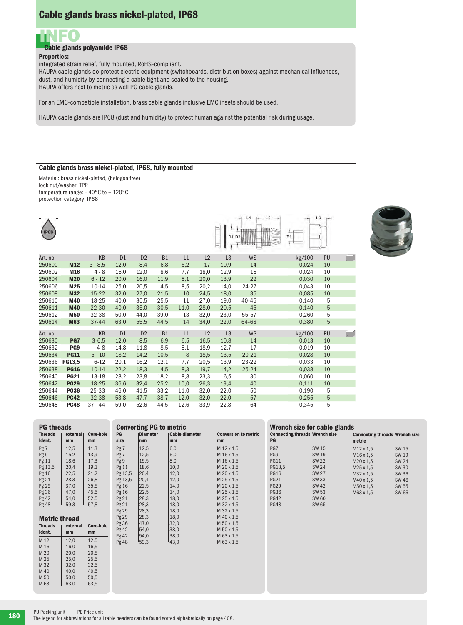## Cable glands brass nickel-plated, IP68



## Cable glands polyamide IP68

## Properties:

integrated strain relief, fully mounted, RoHS-compliant.

HAUPA cable glands do protect electric equipment (switchboards, distribution boxes) against mechanical influences, dust, and humidity by connecting a cable tight and sealed to the housing. HAUPA offers next to metric as well PG cable glands.

For an EMC-compatible installation, brass cable glands inclusive EMC insets should be used.

HAUPA cable glands are IP68 (dust and humidity) to protect human against the potential risk during usage.

## Cable glands brass nickel-plated, IP68, fully mounted

Material: brass nickel-plated, (halogen free) lock nut/washer: TPR temperature range: – 40°C to + 120°C protection category: IP68

**PG threads**<br>Threads | external

Pg 9

Pg 48

M 16

**Metric thread**<br>Threads external

Ident.  $\vert$  mm  $\vert$  mm M 12 12,0 12,5<br>M 16 16 0 16 5

M 20 20,0 20,5  $M 25$  25,0 25,5<br> $M 32$  32.0 32.5 M 32 32,0 32,5<br>M 40 40,0 40,5  $M = 40$ ,  $M = 40$ ,  $M = 50$ ,  $M = 50$ ,  $M = 50$ ,  $M = 50$ ,  $M = 50$ ,  $M = 50$ ,  $M = 50$ ,  $M = 50$ ,  $M = 50$ ,  $M = 50$ ,  $M = 50$ ,  $M = 50$ ,  $M = 50$ ,  $M = 50$ ,  $M = 50$ ,  $M = 50$ ,  $M = 50$ ,  $M = 50$ ,  $M = 50$ ,  $M = 50$ ,  $M = 50$ ,  $M = 50$ ,  $M = 5$  $M 50$  50,0<br> $M 63$  63,0

Ident. | mm | mm Pg 7 12,5 11,3<br>Pg 9 15.2 13.9

Pg 11  $\begin{array}{|c|c|c|c|c|} \hline 18,6 & 17,3 \\ \hline 19,1 & 20.4 & 19.1 \\ \hline \end{array}$ Pg 13,5 20,4 19,1<br>Pg 16 22,5 21,2  $\begin{array}{c|c}\n \text{Pg 16} & 22.5 & 21.2 \\
\text{Pg 21} & 28.3 & 26.8\n \end{array}$ Pg 21 | 28,3 | 26,8 Pg 29 | 37,0 | 35,5  $\begin{array}{c|c}\n \text{Pg 36} & 47,0 & 45,5 \\
\text{Pg 42} & 54,0 & 52,5\n \end{array}$ Pg 42  $\begin{array}{|c|c|c|} 54,0 & 52,5 \\ \hline \text{Pg }48 & 59,3 & 57,8 \end{array}$ 

Core-hole

Core-hole

63,5

| <b>IP68</b> |                 |           |                |                |           |      |                | D1 D2          | L1<br>$-12$ | <b>B1</b> | L <sub>3</sub> |  |
|-------------|-----------------|-----------|----------------|----------------|-----------|------|----------------|----------------|-------------|-----------|----------------|--|
| Art. no.    |                 | <b>KB</b> | D <sub>1</sub> | D <sub>2</sub> | <b>B1</b> | L1   | L2             | L <sub>3</sub> | <b>WS</b>   | kg/100    | PU             |  |
| 250600      | <b>M12</b>      | $3 - 8,5$ | 12,0           | 8,4            | 6,8       | 6,2  | 17             | 10,9           | 14          | 0,024     | 10             |  |
| 250602      | M16             | $4 - 8$   | 16,0           | 12,0           | 8,6       | 7,7  | 18,0           | 12,9           | 18          | 0,024     | 10             |  |
| 250604      | <b>M20</b>      | $6 - 12$  | 20,0           | 16,0           | 11,9      | 8,1  | 20,0           | 13,9           | 22          | 0,030     | 10             |  |
| 250606      | M25             | $10 - 14$ | 25,0           | 20,5           | 14,5      | 8,5  | 20,2           | 14,0           | 24-27       | 0,043     | 10             |  |
| 250608      | <b>M32</b>      | $15 - 22$ | 32,0           | 27,0           | 21,5      | 10   | 24,5           | 18,0           | 35          | 0,085     | 10             |  |
| 250610      | M40             | 18-25     | 40,0           | 35,5           | 25,5      | 11   | 27,0           | 19,0           | 40-45       | 0,140     | 5              |  |
| 250611      | <b>M40</b>      | $22 - 30$ | 40,0           | 35,0           | 30,5      | 11,0 | 28,0           | 20,5           | 45          | 0,140     | $\sqrt{5}$     |  |
| 250612      | <b>M50</b>      | 32-38     | 50,0           | 44,0           | 39,0      | 13   | 32,0           | 23,0           | 55-57       | 0,260     | 5              |  |
| 250614      | <b>M63</b>      | 37-44     | 63,0           | 55,5           | 44,5      | 14   | 34,0           | 22,0           | 64-68       | 0,380     | 5              |  |
| Art. no.    |                 | KB        | D <sub>1</sub> | D <sub>2</sub> | <b>B1</b> | L1   | L <sub>2</sub> | L <sub>3</sub> | WS          | kg/100    | PU             |  |
| 250630      | PG7             | $3 - 6,5$ | 12,0           | 8,5            | 6,9       | 6,5  | 16,5           | 10,8           | 14          | 0,013     | 10             |  |
| 250632      | PG <sub>9</sub> | 4-8       | 14,8           | 11,8           | 8,5       | 8,1  | 18,9           | 12,7           | 17          | 0,019     | 10             |  |
| 250634      | <b>PG11</b>     | $5 - 10$  | 18,2           | 14,2           | 10,5      | 8    | 18,5           | 13,5           | $20 - 21$   | 0,028     | 10             |  |
| 250636      | PG13,5          | $6 - 12$  | 20,1           | 16,2           | 12,1      | 7,7  | 20,5           | 13,9           | $23 - 22$   | 0,033     | 10             |  |
| 250638      | <b>PG16</b>     | $10 - 14$ | 22,2           | 18,3           | 14,5      | 8,3  | 19,7           | 14,2           | $25 - 24$   | 0,038     | 10             |  |
| 250640      | <b>PG21</b>     | 13-18     | 28,2           | 23,8           | 18,2      | 8,8  | 23,3           | 16,5           | 30          | 0,060     | 10             |  |
| 250642      | <b>PG29</b>     | 18-25     | 36,6           | 32,4           | 25,2      | 10,0 | 26,3           | 19,4           | 40          | 0,111     | 10             |  |
| 250644      | <b>PG36</b>     | 25-33     | 46,0           | 41,5           | 33,2      | 11,0 | 32,0           | 22,0           | 50          | 0,190     | 5              |  |
| 250646      | <b>PG42</b>     | 32-38     | 53,8           | 47,7           | 38,7      | 12,0 | 32,0           | 22,0           | 57          | 0,255     | 5              |  |
| 250648      | <b>PG48</b>     | $37 - 44$ | 59,0           | 52,6           | 44,5      | 12,6 | 33,9           | 22,8           | 64          | 0,345     | 5              |  |

| ມສ.ບ    | U.≤C<br>44.J                   | 12,0<br>ວວ.ອ   | 22,0<br><b>04</b>           |                              | U.J4J<br>υ                            |                       |                                       |  |  |  |  |
|---------|--------------------------------|----------------|-----------------------------|------------------------------|---------------------------------------|-----------------------|---------------------------------------|--|--|--|--|
|         |                                |                |                             |                              |                                       |                       |                                       |  |  |  |  |
|         | <b>Converting PG to metric</b> |                |                             | Wrench size for cable glands |                                       |                       |                                       |  |  |  |  |
| PG      | <b>Diameter</b>                | Cable diameter | <b>Conversion to metric</b> |                              | <b>Connecting threads Wrench size</b> |                       | <b>Connecting threads Wrench size</b> |  |  |  |  |
| size    | mm                             | mm             | mm                          | PG                           |                                       | metric                |                                       |  |  |  |  |
| Pg 7    | 12,5                           | 6,0            | M 12 x 1.5                  | PG7                          | SW 15                                 | M <sub>12</sub> x 1,5 | SW 15                                 |  |  |  |  |
| Pg 7    | 12,5                           | 6,0            | M 16 x 1,5                  | PG <sub>9</sub>              | SW 19                                 | M <sub>16</sub> x 1,5 | SW 19                                 |  |  |  |  |
| Pg 9    | 15,5                           | 8,0            | M 16 x 1,5                  | <b>PG11</b>                  | <b>SW 22</b>                          | M20 x 1,5             | SW 24                                 |  |  |  |  |
| Pg 11   | 18,6                           | 10,0           | M 20 x 1.5                  | PG13,5                       | <b>SW 24</b>                          | M25 x 1,5             | <b>SW 30</b>                          |  |  |  |  |
| Pg 13,5 | 20,4                           | 12,0           | M 20 x 1,5                  | <b>PG16</b>                  | <b>SW 27</b>                          | M32 x 1,5             | <b>SW36</b>                           |  |  |  |  |
| Pg 13,5 | 20,4                           | 12,0           | M 25 x 1,5                  | <b>PG21</b>                  | SW 33                                 | M40 x 1,5             | <b>SW 46</b>                          |  |  |  |  |
| Pg 16   | 22,5                           | 14,0           | M 20 x 1.5                  | <b>PG29</b>                  | SW 42                                 | M50 x 1,5             | SW 55                                 |  |  |  |  |
| Pg 16   | 22,5                           | 14,0           | M 25 x 1,5                  | <b>PG36</b>                  | SW 53                                 | M63 x 1,5             | <b>SW 66</b>                          |  |  |  |  |
| Pg 21   | 28,3                           | 18,0           | M 25 x 1,5                  | <b>PG42</b>                  | SW 60                                 |                       |                                       |  |  |  |  |
| Pg 21   | 28,3                           | 18,0           | M 32 x 1.5                  | <b>PG48</b>                  | SW 65                                 |                       |                                       |  |  |  |  |
| Pg 29   | 28,3                           | 18,0           | M 32 x 1,5                  |                              |                                       |                       |                                       |  |  |  |  |
| Pg 29   | 28,3                           | 18,0           | M 40 x 1,5                  |                              |                                       |                       |                                       |  |  |  |  |
| Pg 36   | 47,0                           | 32,0           | M 50 x 1.5                  |                              |                                       |                       |                                       |  |  |  |  |
| Pg 42   | 54,0                           | 38,0           | M 50 x 1,5                  |                              |                                       |                       |                                       |  |  |  |  |
| Pg 42   | 54,0                           | 38,0           | M 63 x 1,5                  |                              |                                       |                       |                                       |  |  |  |  |
| Pg 48   | 159.3                          | 143,0          | M 63 x 1,5                  |                              |                                       |                       |                                       |  |  |  |  |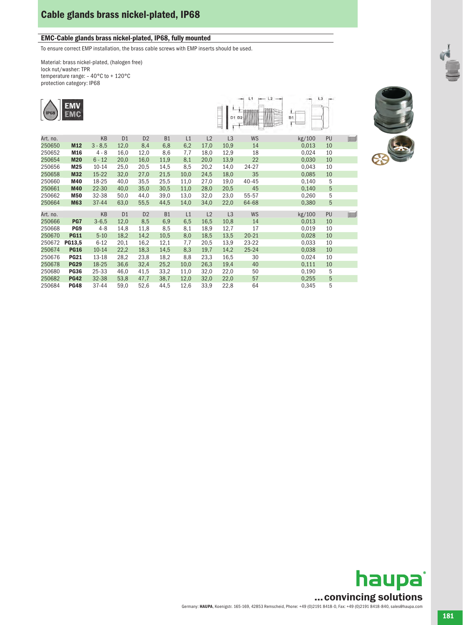# Cable glands brass nickel-plated, IP68

## EMC-Cable glands brass nickel-plated, IP68, fully mounted

To ensure correct EMP installation, the brass cable screws with EMP inserts should be used.

Material: brass nickel-plated, (halogen free) lock nut/washer: TPR temperature range: – 40°C to + 120°C protection category: IP68





|          |                 |            |                |                |           |      |                |      |           | ацадан |    |              |
|----------|-----------------|------------|----------------|----------------|-----------|------|----------------|------|-----------|--------|----|--------------|
| Art. no. |                 | KB         | D <sub>1</sub> | D <sub>2</sub> | <b>B1</b> | L1   | L <sub>2</sub> | L3   | <b>WS</b> | kg/100 | PU | $\Box$       |
| 250650   | M12             | $3 - 8,5$  | 12,0           | 8,4            | 6,8       | 6,2  | 17,0           | 10,9 | 14        | 0,013  | 10 |              |
| 250652   | M16             | $4 - 8$    | 16,0           | 12,0           | 8,6       | 7,7  | 18,0           | 12,9 | 18        | 0,024  | 10 |              |
| 250654   | <b>M20</b>      | $6 - 12$   | 20,0           | 16,0           | 11,9      | 8,1  | 20,0           | 13,9 | 22        | 0,030  | 10 |              |
| 250656   | M25             | $10 - 14$  | 25,0           | 20,5           | 14,5      | 8,5  | 20,2           | 14,0 | 24-27     | 0,043  | 10 |              |
| 250658   | M32             | $15 - 22$  | 32,0           | 27,0           | 21,5      | 10,0 | 24,5           | 18,0 | 35        | 0,085  | 10 |              |
| 250660   | M40             | 18-25      | 40,0           | 35,5           | 25,5      | 11,0 | 27,0           | 19,0 | 40-45     | 0,140  | 5  |              |
| 250661   | <b>M40</b>      | 22-30      | 40,0           | 35,0           | 30,5      | 11,0 | 28,0           | 20,5 | 45        | 0,140  | 5  |              |
| 250662   | <b>M50</b>      | 32-38      | 50,0           | 44,0           | 39,0      | 13,0 | 32,0           | 23,0 | 55-57     | 0,260  | 5  |              |
| 250664   | <b>M63</b>      | 37-44      | 63,0           | 55,5           | 44,5      | 14,0 | 34,0           | 22,0 | 64-68     | 0,380  | 5  |              |
| Art. no. |                 | KB         | D <sub>1</sub> | D <sub>2</sub> | <b>B1</b> | L1   | L2             | L3   | <b>WS</b> | kg/100 | PU | $\mathbf{L}$ |
| 250666   | PG7             | $3 - 6, 5$ | 12,0           | 8,5            | 6,9       | 6,5  | 16,5           | 10,8 | 14        | 0,013  | 10 |              |
| 250668   | PG <sub>9</sub> | $4 - 8$    | 14,8           | 11,8           | 8,5       | 8,1  | 18,9           | 12,7 | 17        | 0,019  | 10 |              |
| 250670   | <b>PG11</b>     | $5 - 10$   | 18,2           | 14,2           | 10,5      | 8,0  | 18,5           | 13,5 | $20 - 21$ | 0,028  | 10 |              |
| 250672   | PG13,5          | $6 - 12$   | 20,1           | 16,2           | 12,1      | 7,7  | 20,5           | 13,9 | $23 - 22$ | 0,033  | 10 |              |
| 250674   | <b>PG16</b>     | $10 - 14$  | 22,2           | 18,3           | 14,5      | 8,3  | 19,7           | 14,2 | $25 - 24$ | 0,038  | 10 |              |
| 250676   | <b>PG21</b>     | 13-18      | 28,2           | 23,8           | 18,2      | 8,8  | 23,3           | 16,5 | 30        | 0,024  | 10 |              |
| 250678   | <b>PG29</b>     | 18-25      | 36,6           | 32,4           | 25,2      | 10,0 | 26,3           | 19,4 | 40        | 0,111  | 10 |              |
| 250680   | <b>PG36</b>     | 25-33      | 46,0           | 41,5           | 33,2      | 11,0 | 32,0           | 22,0 | 50        | 0,190  | 5  |              |
| 250682   | <b>PG42</b>     | 32-38      | 53,8           | 47,7           | 38,7      | 12,0 | 32,0           | 22,0 | 57        | 0,255  | 5  |              |
| 250684   | <b>PG48</b>     | 37-44      | 59,0           | 52,6           | 44,5      | 12,6 | 33,9           | 22,8 | 64        | 0,345  | 5  |              |